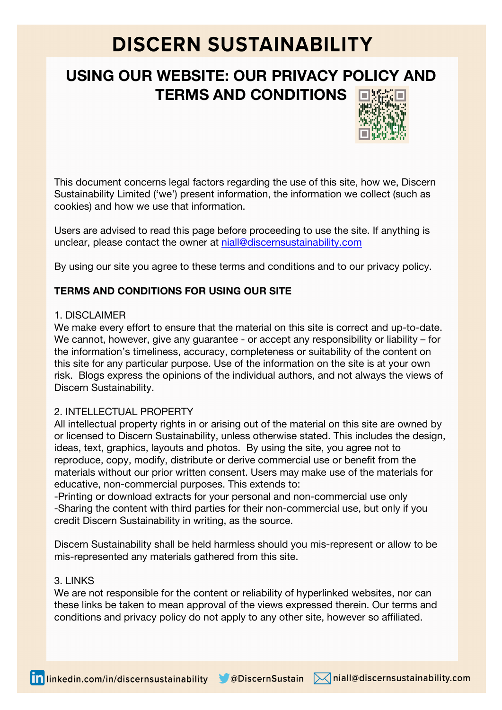# **DISCERN SUSTAINABILITY**

## **USING OUR WEBSITE: OUR PRIVACY POLICY AND TERMS AND CONDITIONS**



This document concerns legal factors regarding the use of this site, how we, Discern Sustainability Limited ('we') present information, the information we collect (such as cookies) and how we use that information.

Users are advised to read this page before proceeding to use the site. If anything is unclear, please contact the owner at niall@discernsustainability.com

By using our site you agree to these terms and conditions and to our privacy policy.

### **TERMS AND CONDITIONS FOR USING OUR SITE**

#### 1. DISCLAIMER

We make every effort to ensure that the material on this site is correct and up-to-date. We cannot, however, give any guarantee - or accept any responsibility or liability – for the information's timeliness, accuracy, completeness or suitability of the content on this site for any particular purpose. Use of the information on the site is at your own risk. Blogs express the opinions of the individual authors, and not always the views of Discern Sustainability.

### 2. INTELLECTUAL PROPERTY

All intellectual property rights in or arising out of the material on this site are owned by or licensed to Discern Sustainability, unless otherwise stated. This includes the design, ideas, text, graphics, layouts and photos. By using the site, you agree not to reproduce, copy, modify, distribute or derive commercial use or benefit from the materials without our prior written consent. Users may make use of the materials for educative, non-commercial purposes. This extends to:

-Printing or download extracts for your personal and non-commercial use only -Sharing the content with third parties for their non-commercial use, but only if you credit Discern Sustainability in writing, as the source.

Discern Sustainability shall be held harmless should you mis-represent or allow to be mis-represented any materials gathered from this site.

#### 3. LINKS

We are not responsible for the content or reliability of hyperlinked websites, nor can these links be taken to mean approval of the views expressed therein. Our terms and conditions and privacy policy do not apply to any other site, however so affiliated.